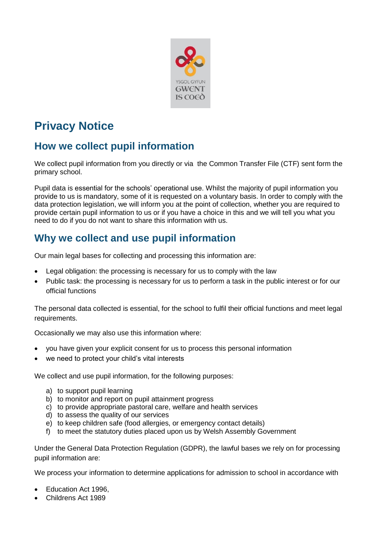

# **Privacy Notice**

# **How we collect pupil information**

We collect pupil information from you directly or via the Common Transfer File (CTF) sent form the primary school.

Pupil data is essential for the schools' operational use. Whilst the majority of pupil information you provide to us is mandatory, some of it is requested on a voluntary basis. In order to comply with the data protection legislation, we will inform you at the point of collection, whether you are required to provide certain pupil information to us or if you have a choice in this and we will tell you what you need to do if you do not want to share this information with us.

# **Why we collect and use pupil information**

Our main legal bases for collecting and processing this information are:

- Legal obligation: the processing is necessary for us to comply with the law
- Public task: the processing is necessary for us to perform a task in the public interest or for our official functions

The personal data collected is essential, for the school to fulfil their official functions and meet legal requirements.

Occasionally we may also use this information where:

- you have given your explicit consent for us to process this personal information
- we need to protect your child's vital interests

We collect and use pupil information, for the following purposes:

- a) to support pupil learning
- b) to monitor and report on pupil attainment progress
- c) to provide appropriate pastoral care, welfare and health services
- d) to assess the quality of our services
- e) to keep children safe (food allergies, or emergency contact details)
- f) to meet the statutory duties placed upon us by Welsh Assembly Government

Under the General Data Protection Regulation (GDPR), the lawful bases we rely on for processing pupil information are:

We process your information to determine applications for admission to school in accordance with

- Education Act 1996,
- Childrens Act 1989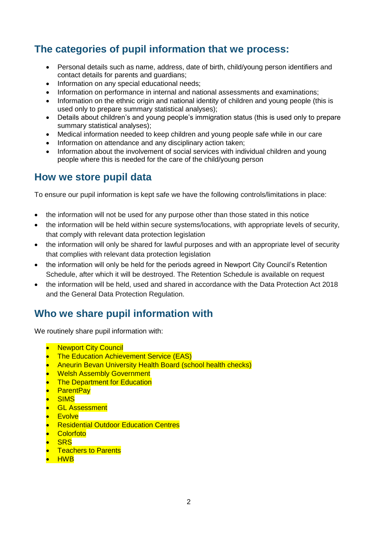# **The categories of pupil information that we process:**

- Personal details such as name, address, date of birth, child/young person identifiers and contact details for parents and guardians;
- Information on any special educational needs:
- Information on performance in internal and national assessments and examinations:
- Information on the ethnic origin and national identity of children and young people (this is used only to prepare summary statistical analyses);
- Details about children's and young people's immigration status (this is used only to prepare summary statistical analyses);
- Medical information needed to keep children and young people safe while in our care
- Information on attendance and any disciplinary action taken;
- Information about the involvement of social services with individual children and young people where this is needed for the care of the child/young person

### **How we store pupil data**

To ensure our pupil information is kept safe we have the following controls/limitations in place:

- the information will not be used for any purpose other than those stated in this notice
- the information will be held within secure systems/locations, with appropriate levels of security, that comply with relevant data protection legislation
- the information will only be shared for lawful purposes and with an appropriate level of security that complies with relevant data protection legislation
- the information will only be held for the periods agreed in Newport City Council's Retention Schedule, after which it will be destroyed. The Retention Schedule is available on request
- the information will be held, used and shared in accordance with the Data Protection Act 2018 and the General Data Protection Regulation.

## **Who we share pupil information with**

We routinely share pupil information with:

- **Newport City Council**
- The Education Achievement Service (EAS)
- Aneurin Bevan University Health Board (school health checks)
- **Welsh Assembly Government**
- **The Department for Education**
- ParentPay
- **SIMS**
- GL Assessment
- **Evolve**
- **Residential Outdoor Education Centres**
- **•** Colorfoto
- **SRS**
- **Teachers to Parents**
- HWB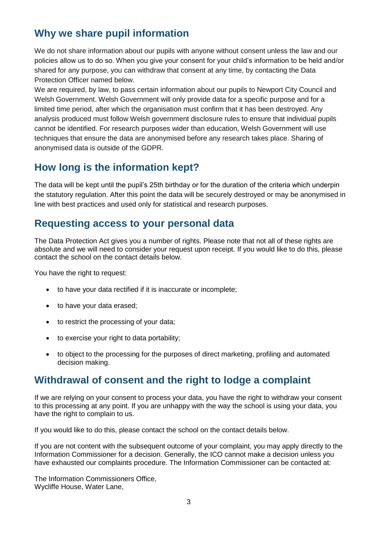# **Why we share pupil information**

We do not share information about our pupils with anyone without consent unless the law and our policies allow us to do so. When you give your consent for your child's information to be held and/or shared for any purpose, you can withdraw that consent at any time, by contacting the Data Protection Officer named below.

We are required, by law, to pass certain information about our pupils to Newport City Council and Welsh Government. Welsh Government will only provide data for a specific purpose and for a limited time period, after which the organisation must confirm that it has been destroyed. Any analysis produced must follow Welsh government disclosure rules to ensure that individual pupils cannot be identified. For research purposes wider than education, Welsh Government will use techniques that ensure the data are anonymised before any research takes place. Sharing of anonymised data is outside of the GDPR.

## **How long is the information kept?**

The data will be kept until the pupil's 25th birthday or for the duration of the criteria which underpin the statutory regulation. After this point the data will be securely destroyed or may be anonymised in line with best practices and used only for statistical and research purposes.

### **Requesting access to your personal data**

The Data Protection Act gives you a number of rights. Please note that not all of these rights are absolute and we will need to consider your request upon receipt. If you would like to do this, please contact the school on the contact details below.

You have the right to request:

- to have your data rectified if it is inaccurate or incomplete;
- to have your data erased;
- to restrict the processing of your data;
- to exercise your right to data portability;
- to object to the processing for the purposes of direct marketing, profiling and automated decision making.

### **Withdrawal of consent and the right to lodge a complaint**

If we are relying on your consent to process your data, you have the right to withdraw your consent to this processing at any point. If you are unhappy with the way the school is using your data, you have the right to complain to us.

If you would like to do this, please contact the school on the contact details below.

If you are not content with the subsequent outcome of your complaint, you may apply directly to the Information Commissioner for a decision. Generally, the ICO cannot make a decision unless you have exhausted our complaints procedure. The Information Commissioner can be contacted at:

The Information Commissioners Office, Wycliffe House, Water Lane,